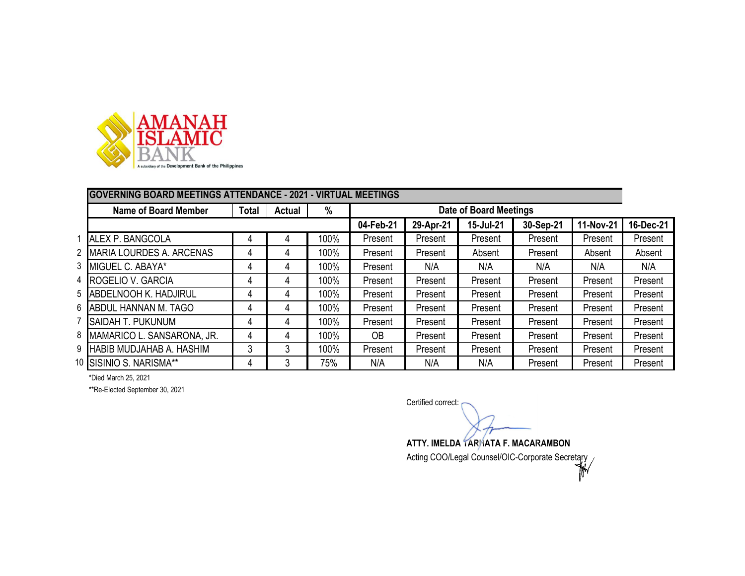

|   | <b>GOVERNING BOARD MEETINGS ATTENDANCE - 2021 - VIRTUAL MEETINGS</b> |              |               |      |           |                               |           |           |           |           |
|---|----------------------------------------------------------------------|--------------|---------------|------|-----------|-------------------------------|-----------|-----------|-----------|-----------|
|   | <b>Name of Board Member</b>                                          | <b>Total</b> | <b>Actual</b> | %    |           | <b>Date of Board Meetings</b> |           |           |           |           |
|   |                                                                      |              |               |      | 04-Feb-21 | 29-Apr-21                     | 15-Jul-21 | 30-Sep-21 | 11-Nov-21 | 16-Dec-21 |
|   | ALEX P. BANGCOLA                                                     | 4            | 4             | 100% | Present   | Present                       | Present   | Present   | Present   | Present   |
| 2 | MARIA LOURDES A. ARCENAS                                             | 4            | 4             | 100% | Present   | Present                       | Absent    | Present   | Absent    | Absent    |
|   | 3 MIGUEL C. ABAYA*                                                   | 4            | 4             | 100% | Present   | N/A                           | N/A       | N/A       | N/A       | N/A       |
|   | 4 ROGELIO V. GARCIA                                                  |              | 4             | 100% | Present   | Present                       | Present   | Present   | Present   | Present   |
|   | 5 ABDELNOOH K. HADJIRUL                                              | 4            | 4             | 100% | Present   | Present                       | Present   | Present   | Present   | Present   |
|   | 6 ABDUL HANNAN M. TAGO                                               | 4            | 4             | 100% | Present   | Present                       | Present   | Present   | Present   | Present   |
|   | <b>SAIDAH T. PUKUNUM</b>                                             |              | 4             | 100% | Present   | Present                       | Present   | Present   | Present   | Present   |
| 8 | MAMARICO L. SANSARONA, JR.                                           | 4            | 4             | 100% | OB.       | Present                       | Present   | Present   | Present   | Present   |
| 9 | <b>HABIB MUDJAHAB A. HASHIM</b>                                      | 3            | 3             | 100% | Present   | Present                       | Present   | Present   | Present   | Present   |
|   | 10 SISINIO S. NARISMA**                                              | 4            | 3             | 75%  | N/A       | N/A                           | N/A       | Present   | Present   | Present   |

\*Died March 25, 2021

\*\*Re-Elected September 30, 2021

Certified correct: **ATTY. IMELDA TARHATA F. MACARAMBON** Acting COO/Legal Counsel/OIC-Corporate Secretary